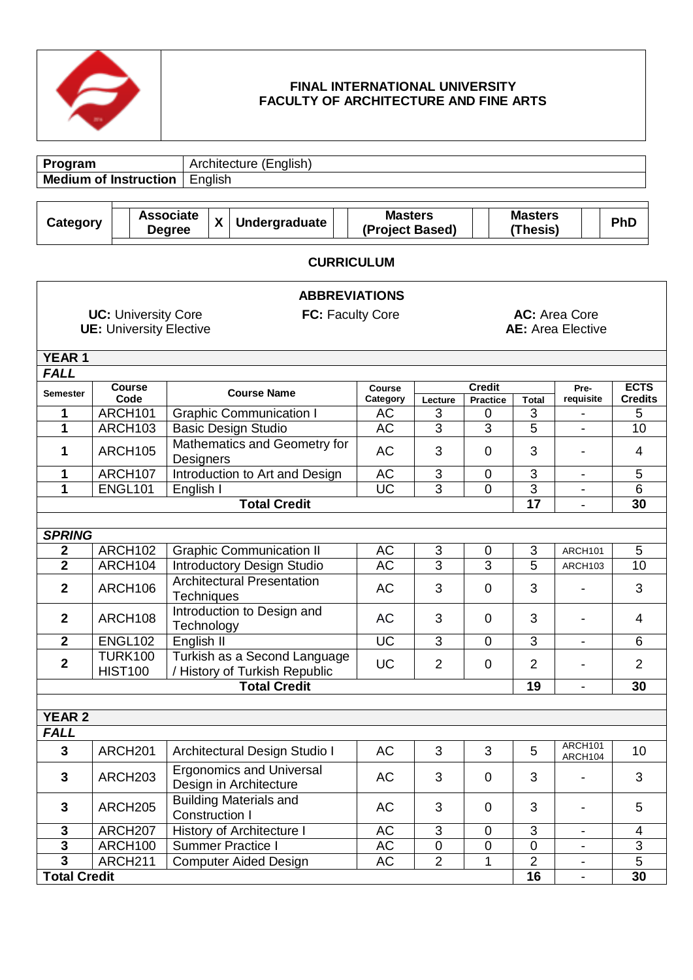

# **FINAL INTERNATIONAL UNIVERSITY FACULTY OF ARCHITECTURE AND FINE ARTS**

| Program                                 |                                                                                                                                             | Architecture (English)                                          |                                                                 |                |                                  |                 |                          |                               |  |
|-----------------------------------------|---------------------------------------------------------------------------------------------------------------------------------------------|-----------------------------------------------------------------|-----------------------------------------------------------------|----------------|----------------------------------|-----------------|--------------------------|-------------------------------|--|
| <b>Medium of Instruction</b><br>English |                                                                                                                                             |                                                                 |                                                                 |                |                                  |                 |                          |                               |  |
|                                         |                                                                                                                                             |                                                                 |                                                                 |                |                                  |                 |                          |                               |  |
| <b>Category</b>                         |                                                                                                                                             | <b>Associate</b><br>Undergraduate<br>X<br><b>Degree</b>         | <b>Masters</b><br><b>Masters</b><br>(Project Based)<br>(Thesis) |                |                                  |                 |                          |                               |  |
|                                         | <b>CURRICULUM</b>                                                                                                                           |                                                                 |                                                                 |                |                                  |                 |                          |                               |  |
|                                         |                                                                                                                                             | <b>ABBREVIATIONS</b>                                            |                                                                 |                |                                  |                 |                          |                               |  |
|                                         | <b>UC: University Core</b><br><b>FC: Faculty Core</b><br><b>AC:</b> Area Core<br><b>UE: University Elective</b><br><b>AE:</b> Area Elective |                                                                 |                                                                 |                |                                  |                 |                          |                               |  |
| <b>YEAR 1</b>                           |                                                                                                                                             |                                                                 |                                                                 |                |                                  |                 |                          |                               |  |
| <b>FALL</b>                             |                                                                                                                                             |                                                                 |                                                                 |                |                                  |                 |                          |                               |  |
| <b>Semester</b>                         | <b>Course</b><br>Code                                                                                                                       | <b>Course Name</b>                                              | <b>Course</b><br>Category                                       | Lecture        | <b>Credit</b><br><b>Practice</b> | <b>Total</b>    | Pre-<br>requisite        | <b>ECTS</b><br><b>Credits</b> |  |
| 1                                       | ARCH101                                                                                                                                     | <b>Graphic Communication I</b>                                  | AC                                                              | 3              | 0                                | 3               |                          | 5                             |  |
| 1                                       | ARCH103                                                                                                                                     | <b>Basic Design Studio</b>                                      | <b>AC</b>                                                       | 3              | 3                                | $\overline{5}$  | $\blacksquare$           | 10                            |  |
| 1                                       | ARCH105                                                                                                                                     | Mathematics and Geometry for<br>Designers                       | AC                                                              | 3              | $\overline{0}$                   | 3               |                          | 4                             |  |
| 1                                       | ARCH107                                                                                                                                     | Introduction to Art and Design                                  | AC                                                              | 3              | $\mathbf 0$                      | 3               | $\blacksquare$           | 5                             |  |
| 1                                       | <b>ENGL101</b>                                                                                                                              | English I                                                       | <b>UC</b>                                                       | $\overline{3}$ | 0                                | $\overline{3}$  |                          | 6                             |  |
|                                         |                                                                                                                                             | <b>Total Credit</b>                                             |                                                                 |                |                                  | $\overline{17}$ | $\blacksquare$           | 30                            |  |
|                                         |                                                                                                                                             |                                                                 |                                                                 |                |                                  |                 |                          |                               |  |
| <b>SPRING</b>                           |                                                                                                                                             |                                                                 |                                                                 |                |                                  |                 |                          |                               |  |
| $\mathbf 2$                             | ARCH102                                                                                                                                     | <b>Graphic Communication II</b>                                 | AC                                                              | 3              | 0                                | $\sqrt{3}$      | ARCH101                  | 5                             |  |
| $\overline{\mathbf{2}}$                 | ARCH104                                                                                                                                     | Introductory Design Studio<br><b>Architectural Presentation</b> | AC                                                              | 3              | $\overline{3}$                   | $\overline{5}$  | ARCH103                  | 10                            |  |
| $\mathbf 2$                             | ARCH <sub>106</sub>                                                                                                                         | <b>Techniques</b>                                               | <b>AC</b>                                                       | 3              | $\mathbf 0$                      | 3               | $\overline{\phantom{a}}$ | 3                             |  |
| $\overline{2}$                          | ARCH108                                                                                                                                     | Introduction to Design and<br>Technology                        | <b>AC</b>                                                       | 3              | $\mathbf 0$                      | 3               |                          | 4                             |  |
| $\overline{\mathbf{2}}$                 | <b>ENGL102</b>                                                                                                                              | English II                                                      | $\overline{UC}$                                                 | 3              | $\overline{0}$                   | 3               |                          | 6                             |  |
| $\mathbf 2$                             | <b>TURK100</b><br><b>HIST100</b>                                                                                                            | Turkish as a Second Language<br>/ History of Turkish Republic   | UC                                                              | $\overline{2}$ | $\mathbf 0$                      | 2               |                          | $\overline{2}$                |  |
|                                         |                                                                                                                                             | <b>Total Credit</b>                                             |                                                                 |                |                                  | 19              | $\blacksquare$           | 30                            |  |
|                                         |                                                                                                                                             |                                                                 |                                                                 |                |                                  |                 |                          |                               |  |
| <b>YEAR 2</b><br><b>FALL</b>            |                                                                                                                                             |                                                                 |                                                                 |                |                                  |                 |                          |                               |  |
|                                         |                                                                                                                                             |                                                                 |                                                                 |                |                                  |                 | ARCH101                  |                               |  |
| 3                                       | ARCH <sub>201</sub>                                                                                                                         | Architectural Design Studio I                                   | AC                                                              | 3              | 3                                | 5               | ARCH104                  | 10                            |  |
| 3                                       | ARCH <sub>203</sub>                                                                                                                         | <b>Ergonomics and Universal</b><br>Design in Architecture       | AC                                                              | 3              | 0                                | 3               |                          | 3                             |  |
| $\mathbf{3}$                            | ARCH <sub>205</sub>                                                                                                                         | <b>Building Materials and</b><br><b>Construction I</b>          | AC                                                              | 3              | 0                                | 3               |                          | 5                             |  |
| 3                                       | ARCH <sub>207</sub>                                                                                                                         | History of Architecture I                                       | <b>AC</b>                                                       | 3              | $\mathbf 0$                      | 3               |                          | 4                             |  |
| 3                                       | ARCH <sub>100</sub>                                                                                                                         | Summer Practice I                                               | AC                                                              | 0              | $\mathbf 0$                      | $\pmb{0}$       | $\overline{\phantom{a}}$ | 3                             |  |
| $\overline{\mathbf{3}}$                 | ARCH <sub>211</sub>                                                                                                                         | <b>Computer Aided Design</b>                                    | AC                                                              | $\overline{2}$ | 1                                | $\overline{2}$  | $\overline{\phantom{a}}$ | $\overline{5}$                |  |
|                                         | <b>Total Credit</b><br>16<br>30<br>$\overline{\phantom{a}}$                                                                                 |                                                                 |                                                                 |                |                                  |                 |                          |                               |  |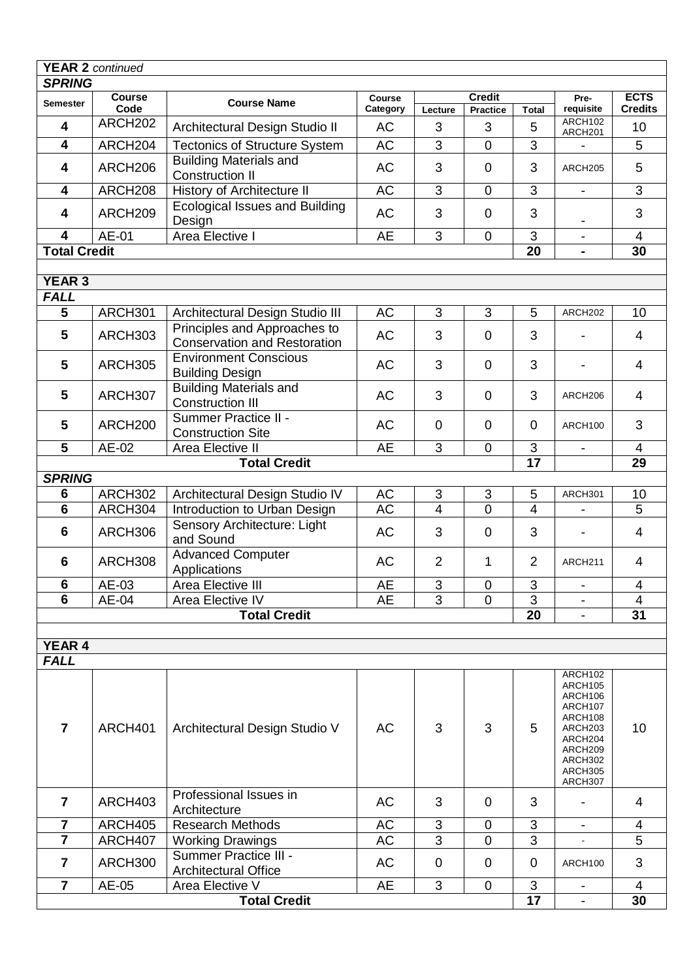| <b>SPRING</b>                 | <b>YEAR 2 continued</b> |                                                                     |               |                |                           |                         |                                                                                                                       |                 |
|-------------------------------|-------------------------|---------------------------------------------------------------------|---------------|----------------|---------------------------|-------------------------|-----------------------------------------------------------------------------------------------------------------------|-----------------|
|                               | <b>Course</b>           |                                                                     | <b>Course</b> |                | <b>Credit</b>             |                         | Pre-                                                                                                                  | <b>ECTS</b>     |
| Semester                      | Code                    | <b>Course Name</b>                                                  | Category      | Lecture        | <b>Practice</b>           | <b>Total</b>            | requisite                                                                                                             | <b>Credits</b>  |
| $\overline{\mathbf{4}}$       | ARCH <sub>202</sub>     | Architectural Design Studio II                                      | AC            | 3              | 3                         | ARCH102<br>5<br>ARCH201 |                                                                                                                       |                 |
| $\overline{\mathbf{4}}$       | ARCH204                 | <b>Tectonics of Structure System</b>                                | <b>AC</b>     | $\overline{3}$ | $\overline{0}$            | 3                       |                                                                                                                       | $\overline{5}$  |
| 4                             | ARCH206                 | <b>Building Materials and</b><br><b>Construction II</b>             | <b>AC</b>     | 3              | 0                         | 3                       | ARCH205                                                                                                               | 5               |
| 4                             | ARCH208                 | History of Architecture II                                          | <b>AC</b>     | 3              | $\overline{0}$            | 3                       | $\overline{\phantom{a}}$                                                                                              | 3               |
| 4                             | ARCH209                 | <b>Ecological Issues and Building</b><br>Design                     | <b>AC</b>     | 3              | $\overline{0}$            | 3                       |                                                                                                                       | 3               |
| 4                             | AE-01                   | Area Elective I                                                     | <b>AE</b>     | $\overline{3}$ | $\mathbf 0$               | 3                       | $\blacksquare$                                                                                                        | 4               |
| <b>Total Credit</b>           |                         |                                                                     |               |                |                           | 20                      | $\blacksquare$                                                                                                        | 30              |
|                               |                         |                                                                     |               |                |                           |                         |                                                                                                                       |                 |
| <b>YEAR 3</b>                 |                         |                                                                     |               |                |                           |                         |                                                                                                                       |                 |
| <b>FALL</b>                   |                         |                                                                     |               |                |                           |                         |                                                                                                                       |                 |
| 5                             | ARCH301                 | Architectural Design Studio III                                     | <b>AC</b>     | 3              | 3                         | 5                       | ARCH202                                                                                                               | 10              |
| 5                             | ARCH303                 | Principles and Approaches to<br><b>Conservation and Restoration</b> | <b>AC</b>     | 3              | $\overline{0}$            | 3                       |                                                                                                                       | 4               |
| $5\phantom{1}$                | ARCH305                 | <b>Environment Conscious</b><br><b>Building Design</b>              | <b>AC</b>     | 3              | $\overline{0}$            | 3                       |                                                                                                                       | $\overline{4}$  |
| 5                             | ARCH307                 | <b>Building Materials and</b><br><b>Construction III</b>            | AC            | 3              | $\mathbf 0$               | 3                       | ARCH206                                                                                                               | 4               |
| $\overline{\mathbf{5}}$       | ARCH <sub>200</sub>     | Summer Practice II -<br><b>Construction Site</b>                    | <b>AC</b>     | $\mathbf 0$    | $\overline{0}$            | 0                       | 3<br>ARCH100                                                                                                          |                 |
| 5                             | AE-02                   | Area Elective II                                                    | AE            | 3              | $\overline{0}$            | 3                       |                                                                                                                       | 4               |
|                               |                         | <b>Total Credit</b>                                                 |               |                |                           | $\overline{17}$         |                                                                                                                       | $\overline{29}$ |
| <b>SPRING</b>                 |                         |                                                                     |               |                |                           |                         |                                                                                                                       |                 |
| 6                             | ARCH302                 | Architectural Design Studio IV                                      | AC            | $\sqrt{3}$     | $\ensuremath{\mathsf{3}}$ | 5                       | <b>ARCH301</b>                                                                                                        | 10              |
| $\overline{6}$                | ARCH304                 | Introduction to Urban Design                                        | <b>AC</b>     | $\overline{4}$ | $\overline{0}$            | $\overline{4}$          |                                                                                                                       | 5               |
| 6                             | ARCH306                 | Sensory Architecture: Light<br>and Sound                            | <b>AC</b>     | 3              | $\mathbf 0$               | 3                       |                                                                                                                       | $\overline{4}$  |
| 6                             | ARCH308                 | <b>Advanced Computer</b><br>Applications                            | AC            | $\overline{2}$ | $\mathbf 1$               | $\overline{2}$          | ARCH211                                                                                                               | $\overline{4}$  |
| 6                             | AE-03                   | Area Elective III                                                   | AE            | 3              | 0                         | 3                       | $\blacksquare$                                                                                                        | 4               |
| $\overline{6}$                | AE-04                   | Area Elective IV                                                    | <b>AE</b>     | $\overline{3}$ | $\overline{0}$            | $\overline{3}$          |                                                                                                                       | $\overline{4}$  |
|                               |                         | <b>Total Credit</b>                                                 |               |                |                           | 20                      |                                                                                                                       | 31              |
|                               |                         |                                                                     |               |                |                           |                         |                                                                                                                       |                 |
| <b>YEAR 4</b>                 |                         |                                                                     |               |                |                           |                         |                                                                                                                       |                 |
| <b>FALL</b><br>$\overline{7}$ | ARCH401                 | Architectural Design Studio V                                       | <b>AC</b>     | 3              | 3                         | 5                       | ARCH102<br>ARCH105<br>ARCH106<br>ARCH107<br>ARCH108<br>ARCH203<br>ARCH204<br>ARCH209<br>ARCH302<br>ARCH305<br>ARCH307 | 10              |
| $\overline{\mathbf{z}}$       | ARCH403                 | Professional Issues in<br>Architecture                              | <b>AC</b>     | 3              | $\overline{0}$            | 3                       |                                                                                                                       | 4               |
| $\overline{7}$                | ARCH405                 | <b>Research Methods</b>                                             | AC            | 3              | $\overline{0}$            | 3                       | $\blacksquare$                                                                                                        | 4               |
| $\overline{7}$                | ARCH407                 | <b>Working Drawings</b>                                             | <b>AC</b>     | $\overline{3}$ | $\overline{0}$            | 3                       |                                                                                                                       | $\overline{5}$  |
| $\overline{7}$                | ARCH300                 | Summer Practice III -<br><b>Architectural Office</b>                | AC            | $\mathbf 0$    | 0                         | $\overline{0}$          | ARCH100                                                                                                               | 3               |
| $\overline{7}$                | AE-05                   | Area Elective V                                                     | AE            | 3              | $\mathbf 0$               | 3                       | $\overline{\phantom{a}}$                                                                                              | 4               |
|                               | <b>Total Credit</b>     |                                                                     |               |                |                           | 17                      | $\sim$                                                                                                                | 30              |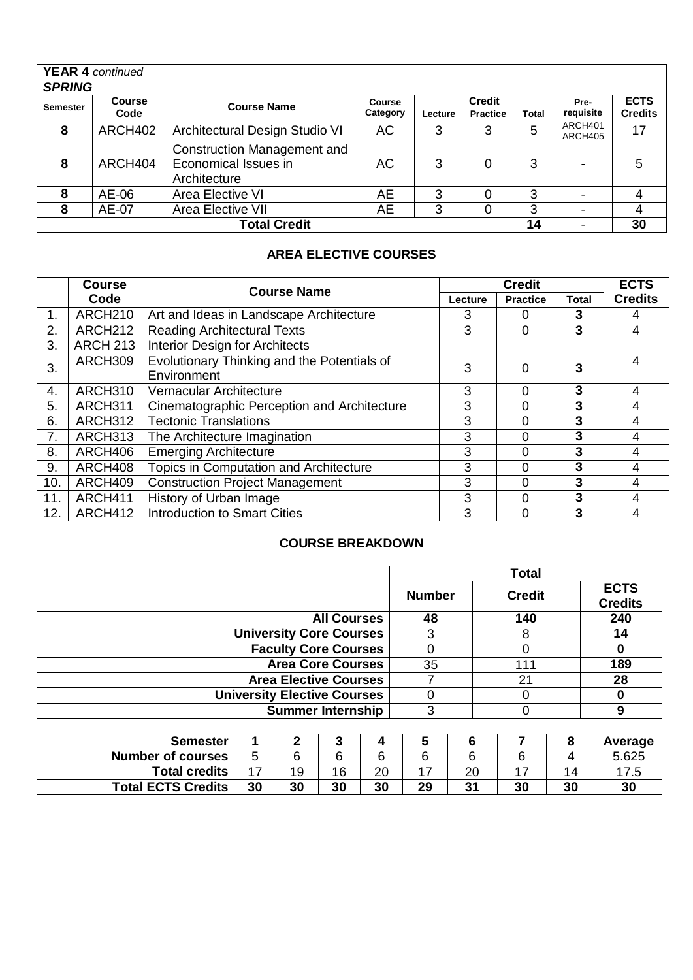|                 | <b>YEAR 4</b> continued           |                                                                            |          |         |                 |              |                    |                |  |
|-----------------|-----------------------------------|----------------------------------------------------------------------------|----------|---------|-----------------|--------------|--------------------|----------------|--|
|                 | <b>SPRING</b>                     |                                                                            |          |         |                 |              |                    |                |  |
| <b>Semester</b> | <b>Course</b>                     | <b>Course Name</b>                                                         | Course   |         | <b>Credit</b>   |              | Pre-               | <b>ECTS</b>    |  |
|                 | Code                              |                                                                            | Category | Lecture | <b>Practice</b> | <b>Total</b> | requisite          | <b>Credits</b> |  |
| 8               | ARCH402                           | Architectural Design Studio VI                                             | AC.      | 3       | 3               | 5            | ARCH401<br>ARCH405 | 17             |  |
| 8               | ARCH404                           | <b>Construction Management and</b><br>Economical Issues in<br>Architecture | AC.      | 3       | 0               | 3            |                    | 5              |  |
| 8               | AE-06                             | Area Elective VI                                                           | AE       | 3       | 0               | 3            |                    | 4              |  |
| 8               | <b>Area Elective VII</b><br>AE-07 |                                                                            |          | 3       | 0               | 3            |                    | 4              |  |
|                 | <b>Total Credit</b><br>30<br>14   |                                                                            |          |         |                 |              |                    |                |  |

# **AREA ELECTIVE COURSES**

|     | <b>Course</b>       |                                             | <b>ECTS</b> |                 |              |                |
|-----|---------------------|---------------------------------------------|-------------|-----------------|--------------|----------------|
|     | Code                | <b>Course Name</b>                          | Lecture     | <b>Practice</b> | Total        | <b>Credits</b> |
| 1.  | ARCH <sub>210</sub> | Art and Ideas in Landscape Architecture     | 3           | 0               | 3            | 4              |
| 2.  | ARCH <sub>212</sub> | <b>Reading Architectural Texts</b>          | 3           | $\Omega$        | $\mathbf{3}$ | 4              |
| 3.  | <b>ARCH 213</b>     | <b>Interior Design for Architects</b>       |             |                 |              |                |
| 3.  | ARCH309             | Evolutionary Thinking and the Potentials of | 3           | $\Omega$        | 3            | 4              |
|     |                     | Environment                                 |             |                 |              |                |
| 4.  | ARCH310             | Vernacular Architecture                     | 3           | 0               | $\mathbf{3}$ | 4              |
| 5.  | ARCH311             | Cinematographic Perception and Architecture | 3           | 0               | 3            | 4              |
| 6.  | ARCH312             | <b>Tectonic Translations</b>                | 3           | 0               | 3            | 4              |
| 7.  | ARCH313             | The Architecture Imagination                | 3           | 0               | 3            | 4              |
| 8.  | ARCH406             | <b>Emerging Architecture</b>                | 3           | 0               | 3            | 4              |
| 9.  | ARCH408             | Topics in Computation and Architecture      | 3           | 0               | $\mathbf{3}$ | 4              |
| 10. | ARCH409             | <b>Construction Project Management</b>      | 3           | 0               | 3            | 4              |
| 11. | ARCH411             | History of Urban Image<br>3                 |             | 0               | 3            | 4              |
| 12. | ARCH412             | <b>Introduction to Smart Cities</b>         | 3           | 0               | 3            | 4              |

# **COURSE BREAKDOWN**

|                           |    |                                    |                    |    |               |    | <b>Total</b>  |    |                               |
|---------------------------|----|------------------------------------|--------------------|----|---------------|----|---------------|----|-------------------------------|
|                           |    |                                    |                    |    | <b>Number</b> |    | <b>Credit</b> |    | <b>ECTS</b><br><b>Credits</b> |
|                           |    |                                    | <b>All Courses</b> |    | 48            |    | 140           |    | 240                           |
|                           |    | <b>University Core Courses</b>     |                    |    | 3             |    | 8             |    | 14                            |
|                           |    | <b>Faculty Core Courses</b>        |                    |    | $\Omega$      |    | 0             |    | 0                             |
|                           |    | <b>Area Core Courses</b>           |                    |    | 35            |    | 111           |    | 189                           |
|                           |    | <b>Area Elective Courses</b>       |                    |    |               | 21 |               |    | 28                            |
|                           |    | <b>University Elective Courses</b> |                    |    | 0             |    | 0             |    | 0                             |
|                           |    | <b>Summer Internship</b>           |                    |    | 3             |    | 0             |    | 9                             |
|                           |    |                                    |                    |    |               |    |               |    |                               |
| <b>Semester</b>           |    | $\mathbf{2}$                       | 3                  | 4  | 5             | 6  |               | 8  | Average                       |
| <b>Number of courses</b>  | 5  | 6                                  | 6                  | 6  | 6             | 6  | 6             | 4  | 5.625                         |
| <b>Total credits</b>      | 17 | 19                                 | 16                 | 20 | 17            | 20 | 17            | 14 | 17.5                          |
| <b>Total ECTS Credits</b> | 30 | 30                                 | 30                 | 30 | 29            | 31 | 30            | 30 | 30                            |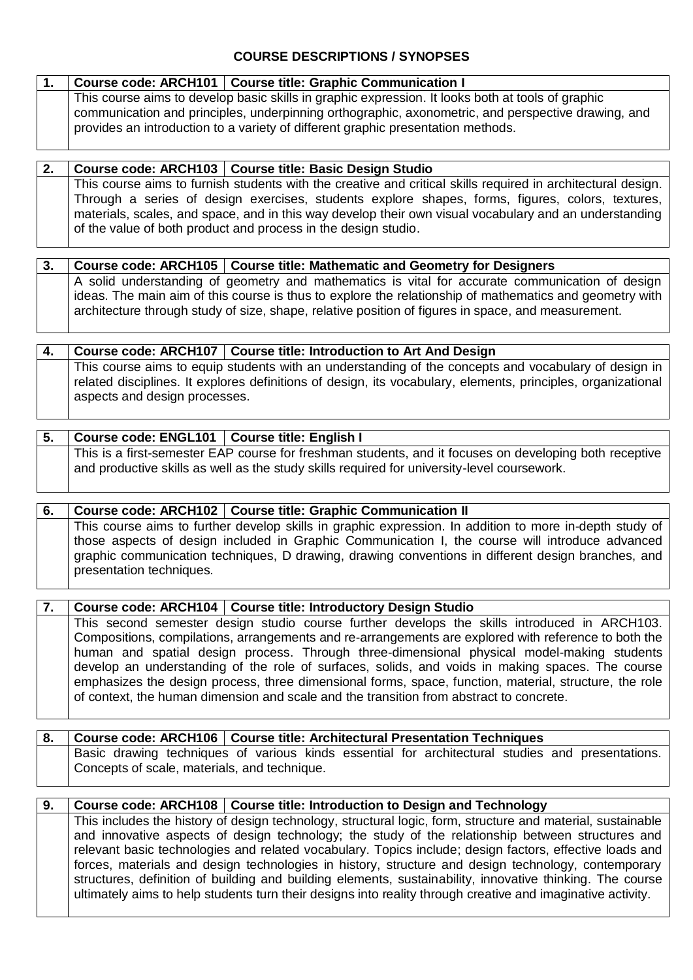# **COURSE DESCRIPTIONS / SYNOPSES**

|  | Course code: ARCH101   Course title: Graphic Communication I                                                                                                                           |
|--|----------------------------------------------------------------------------------------------------------------------------------------------------------------------------------------|
|  | This course aims to develop basic skills in graphic expression. It looks both at tools of graphic                                                                                      |
|  | communication and principles, underpinning orthographic, axonometric, and perspective drawing, and<br>provides an introduction to a variety of different graphic presentation methods. |

|  | Course code: ARCH103   Course title: Basic Design Studio                                                                                                                                                           |
|--|--------------------------------------------------------------------------------------------------------------------------------------------------------------------------------------------------------------------|
|  | This course aims to furnish students with the creative and critical skills required in architectural design.<br>Through a series of design exercises, students explore shapes, forms, figures, colors, textures, I |
|  | materials, scales, and space, and in this way develop their own visual vocabulary and an understanding<br>of the value of both product and process in the design studio.                                           |

| 3. Course code: ARCH105   Course title: Mathematic and Geometry for Designers                           |
|---------------------------------------------------------------------------------------------------------|
| A solid understanding of geometry and mathematics is vital for accurate communication of design         |
| ideas. The main aim of this course is thus to explore the relationship of mathematics and geometry with |
| architecture through study of size, shape, relative position of figures in space, and measurement.      |
|                                                                                                         |

|                                                                                                              | Course code: ARCH107   Course title: Introduction to Art And Design                                  |  |  |  |  |
|--------------------------------------------------------------------------------------------------------------|------------------------------------------------------------------------------------------------------|--|--|--|--|
|                                                                                                              | This course aims to equip students with an understanding of the concepts and vocabulary of design in |  |  |  |  |
| related disciplines. It explores definitions of design, its vocabulary, elements, principles, organizational |                                                                                                      |  |  |  |  |
| aspects and design processes.                                                                                |                                                                                                      |  |  |  |  |

# **5. Course code: ENGL101 Course title: English I** This is a first-semester EAP course for freshman students, and it focuses on developing both receptive and productive skills as well as the study skills required for university-level coursework.

## **6. Course code: ARCH102 Course title: Graphic Communication II** This course aims to further develop skills in graphic expression. In addition to more in-depth study of those aspects of design included in Graphic Communication I, the course will introduce advanced graphic communication techniques, D drawing, drawing conventions in different design branches, and presentation techniques.

## **7. Course code: ARCH104 Course title: Introductory Design Studio**

This second semester design studio course further develops the skills introduced in ARCH103. Compositions, compilations, arrangements and re-arrangements are explored with reference to both the human and spatial design process. Through three-dimensional physical model-making students develop an understanding of the role of surfaces, solids, and voids in making spaces. The course emphasizes the design process, three dimensional forms, space, function, material, structure, the role of context, the human dimension and scale and the transition from abstract to concrete.

| 8. Course code: ARCH106 Course title: Architectural Presentation Techniques                      |  |  |  |  |
|--------------------------------------------------------------------------------------------------|--|--|--|--|
| Basic drawing techniques of various kinds essential for architectural studies and presentations. |  |  |  |  |
| Concepts of scale, materials, and technique.                                                     |  |  |  |  |

## **9. Course code: ARCH108 Course title: Introduction to Design and Technology** This includes the history of design technology, structural logic, form, structure and material, sustainable and innovative aspects of design technology; the study of the relationship between structures and relevant basic technologies and related vocabulary. Topics include; design factors, effective loads and forces, materials and design technologies in history, structure and design technology, contemporary structures, definition of building and building elements, sustainability, innovative thinking. The course ultimately aims to help students turn their designs into reality through creative and imaginative activity.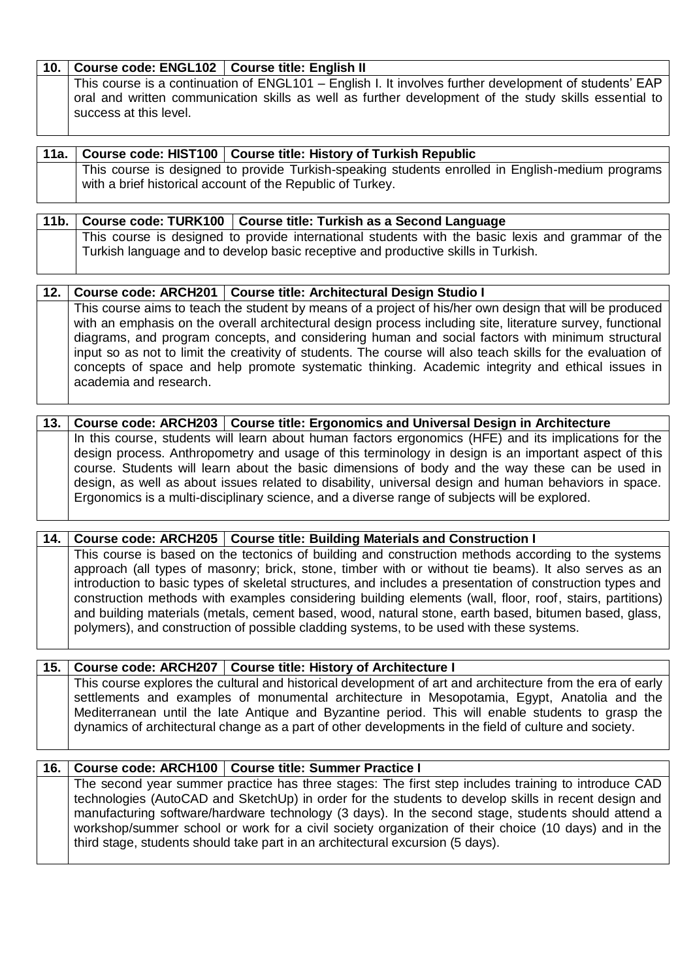# **10. Course code: ENGL102 Course title: English II**

This course is a continuation of ENGL101 – English I. It involves further development of students' EAP oral and written communication skills as well as further development of the study skills essential to success at this level.

|  | 11a.   Course code: HIST100   Course title: History of Turkish Republic                          |
|--|--------------------------------------------------------------------------------------------------|
|  | This course is designed to provide Turkish-speaking students enrolled in English-medium programs |
|  | with a brief historical account of the Republic of Turkey.                                       |

|  | $\mid$ 11b. $\mid$ Course code: TURK100 $\mid$ Course title: Turkish as a Second Language         |
|--|---------------------------------------------------------------------------------------------------|
|  | This course is designed to provide international students with the basic lexis and grammar of the |
|  | Turkish language and to develop basic receptive and productive skills in Turkish.                 |

| 12. |                        | Course code: ARCH201   Course title: Architectural Design Studio I                                           |
|-----|------------------------|--------------------------------------------------------------------------------------------------------------|
|     |                        | This course aims to teach the student by means of a project of his/her own design that will be produced      |
|     |                        | with an emphasis on the overall architectural design process including site, literature survey, functional   |
|     |                        | diagrams, and program concepts, and considering human and social factors with minimum structural             |
|     |                        | input so as not to limit the creativity of students. The course will also teach skills for the evaluation of |
|     | academia and research. | concepts of space and help promote systematic thinking. Academic integrity and ethical issues in             |

|  | 13. Course code: ARCH203   Course title: Ergonomics and Universal Design in Architecture              |
|--|-------------------------------------------------------------------------------------------------------|
|  | In this course, students will learn about human factors ergonomics (HFE) and its implications for the |
|  | design process. Anthropometry and usage of this terminology in design is an important aspect of this  |
|  | course. Students will learn about the basic dimensions of body and the way these can be used in       |
|  | design, as well as about issues related to disability, universal design and human behaviors in space. |
|  | Ergonomics is a multi-disciplinary science, and a diverse range of subjects will be explored.         |

# **14. Course code: ARCH205 Course title: Building Materials and Construction I** This course is based on the tectonics of building and construction methods according to the systems approach (all types of masonry; brick, stone, timber with or without tie beams). It also serves as an introduction to basic types of skeletal structures, and includes a presentation of construction types and construction methods with examples considering building elements (wall, floor, roof, stairs, partitions) and building materials (metals, cement based, wood, natural stone, earth based, bitumen based, glass, polymers), and construction of possible cladding systems, to be used with these systems.

## **15. Course code: ARCH207 Course title: History of Architecture I**

This course explores the cultural and historical development of art and architecture from the era of early settlements and examples of monumental architecture in Mesopotamia, Egypt, Anatolia and the Mediterranean until the late Antique and Byzantine period. This will enable students to grasp the dynamics of architectural change as a part of other developments in the field of culture and society.

## **16. Course code: ARCH100 Course title: Summer Practice I**

The second year summer practice has three stages: The first step includes training to introduce CAD technologies (AutoCAD and SketchUp) in order for the students to develop skills in recent design and manufacturing software/hardware technology (3 days). In the second stage, students should attend a workshop/summer school or work for a civil society organization of their choice (10 days) and in the third stage, students should take part in an architectural excursion (5 days).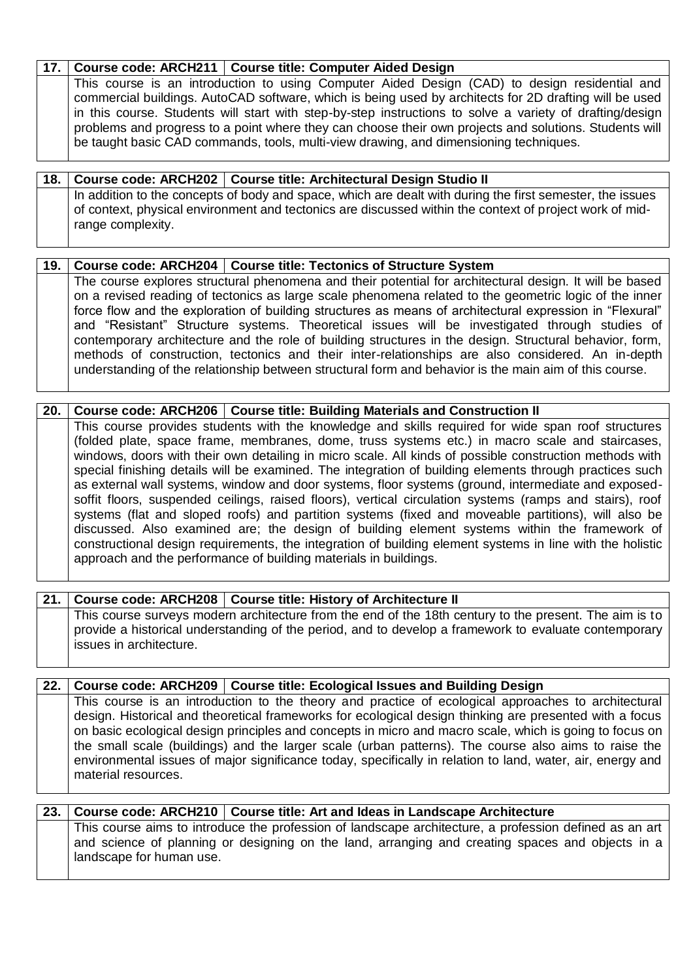| 17. Course code: ARCH211   Course title: Computer Aided Design                                           |
|----------------------------------------------------------------------------------------------------------|
| This course is an introduction to using Computer Aided Design (CAD) to design residential and            |
| commercial buildings. AutoCAD software, which is being used by architects for 2D drafting will be used   |
| in this course. Students will start with step-by-step instructions to solve a variety of drafting/design |
| problems and progress to a point where they can choose their own projects and solutions. Students will   |
| be taught basic CAD commands, tools, multi-view drawing, and dimensioning techniques.                    |
|                                                                                                          |

**18. Course code: ARCH202 Course title: Architectural Design Studio II** In addition to the concepts of body and space, which are dealt with during the first semester, the issues of context, physical environment and tectonics are discussed within the context of project work of midrange complexity.

|  | 19.   Course code: ARCH204   Course title: Tectonics of Structure System                                                                                                                                                                                                                                                                                                                                                       |
|--|--------------------------------------------------------------------------------------------------------------------------------------------------------------------------------------------------------------------------------------------------------------------------------------------------------------------------------------------------------------------------------------------------------------------------------|
|  | The course explores structural phenomena and their potential for architectural design. It will be based<br>on a revised reading of tectonics as large scale phenomena related to the geometric logic of the inner<br>force flow and the exploration of building structures as means of architectural expression in "Flexural"<br>and "Resistant" Structure systems. Theoretical issues will be investigated through studies of |
|  | contemporary architecture and the role of building structures in the design. Structural behavior, form,<br>methods of construction, tectonics and their inter-relationships are also considered. An in-depth<br>understanding of the relationship between structural form and behavior is the main aim of this course.                                                                                                         |

|                                                                                                          | 20.   Course code: ARCH206   Course title: Building Materials and Construction II                         |
|----------------------------------------------------------------------------------------------------------|-----------------------------------------------------------------------------------------------------------|
|                                                                                                          | This course provides students with the knowledge and skills required for wide span roof structures        |
|                                                                                                          | (folded plate, space frame, membranes, dome, truss systems etc.) in macro scale and staircases,           |
|                                                                                                          | windows, doors with their own detailing in micro scale. All kinds of possible construction methods with   |
|                                                                                                          | special finishing details will be examined. The integration of building elements through practices such   |
| as external wall systems, window and door systems, floor systems (ground, intermediate and exposed-      |                                                                                                           |
| soffit floors, suspended ceilings, raised floors), vertical circulation systems (ramps and stairs), roof |                                                                                                           |
|                                                                                                          | systems (flat and sloped roofs) and partition systems (fixed and moveable partitions), will also be       |
|                                                                                                          | discussed. Also examined are; the design of building element systems within the framework of              |
|                                                                                                          | constructional design requirements, the integration of building element systems in line with the holistic |
|                                                                                                          | approach and the performance of building materials in buildings.                                          |
|                                                                                                          |                                                                                                           |

| 21.1 | Course code: ARCH208   Course title: History of Architecture II                                                                                                                                                                            |
|------|--------------------------------------------------------------------------------------------------------------------------------------------------------------------------------------------------------------------------------------------|
|      | This course surveys modern architecture from the end of the 18th century to the present. The aim is to<br>provide a historical understanding of the period, and to develop a framework to evaluate contemporary<br>issues in architecture. |

|                     | 22.   Course code: ARCH209   Course title: Ecological Issues and Building Design                           |
|---------------------|------------------------------------------------------------------------------------------------------------|
|                     | This course is an introduction to the theory and practice of ecological approaches to architectural        |
|                     | design. Historical and theoretical frameworks for ecological design thinking are presented with a focus    |
|                     | on basic ecological design principles and concepts in micro and macro scale, which is going to focus on    |
|                     | the small scale (buildings) and the larger scale (urban patterns). The course also aims to raise the       |
|                     | environmental issues of major significance today, specifically in relation to land, water, air, energy and |
| material resources. |                                                                                                            |

# **23. Course code: ARCH210 Course title: Art and Ideas in Landscape Architecture** This course aims to introduce the profession of landscape architecture, a profession defined as an art and science of planning or designing on the land, arranging and creating spaces and objects in a landscape for human use.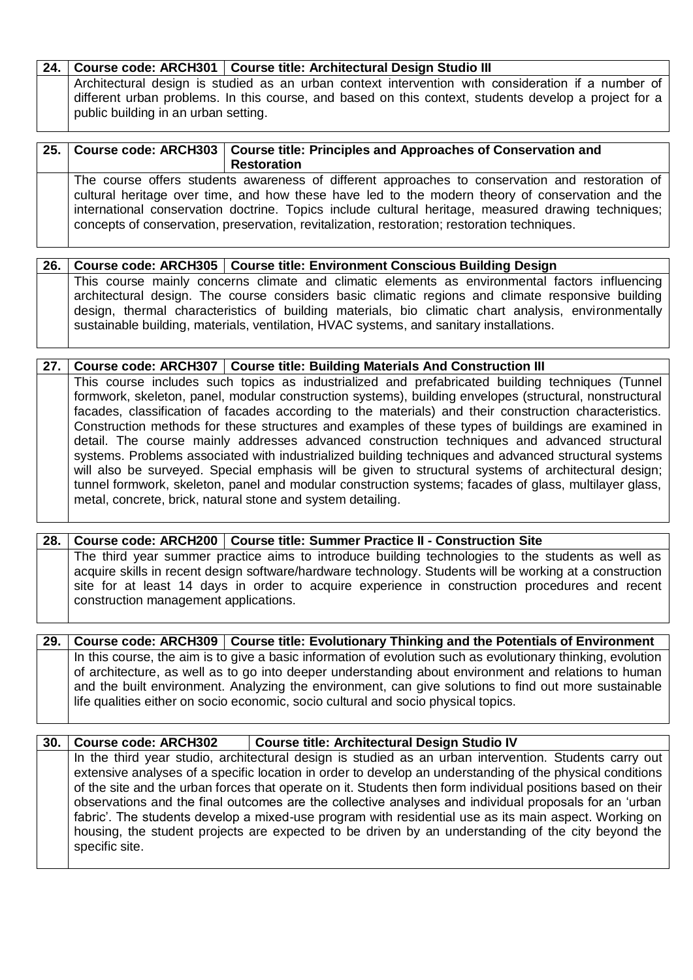|                                      | 24. Course code: ARCH301   Course title: Architectural Design Studio III                              |
|--------------------------------------|-------------------------------------------------------------------------------------------------------|
|                                      | Architectural design is studied as an urban context intervention with consideration if a number of    |
| public building in an urban setting. | different urban problems. In this course, and based on this context, students develop a project for a |

|  | 25. Course code: ARCH303   Course title: Principles and Approaches of Conservation and                                                                                                                                                                                                                                                                                                                     |
|--|------------------------------------------------------------------------------------------------------------------------------------------------------------------------------------------------------------------------------------------------------------------------------------------------------------------------------------------------------------------------------------------------------------|
|  | <b>Restoration</b>                                                                                                                                                                                                                                                                                                                                                                                         |
|  | The course offers students awareness of different approaches to conservation and restoration of<br>cultural heritage over time, and how these have led to the modern theory of conservation and the<br>international conservation doctrine. Topics include cultural heritage, measured drawing techniques;<br>concepts of conservation, preservation, revitalization, restoration; restoration techniques. |

|  | 26. Course code: ARCH305   Course title: Environment Conscious Building Design                                                                                                                        |
|--|-------------------------------------------------------------------------------------------------------------------------------------------------------------------------------------------------------|
|  | This course mainly concerns climate and climatic elements as environmental factors influencing  <br>architectural design. The course considers basic climatic regions and climate responsive building |
|  | design, thermal characteristics of building materials, bio climatic chart analysis, environmentally<br>sustainable building, materials, ventilation, HVAC systems, and sanitary installations.        |

#### **27. Course code: ARCH307 Course title: Building Materials And Construction III** This course includes such topics as industrialized and prefabricated building techniques (Tunnel formwork, skeleton, panel, modular construction systems), building envelopes (structural, nonstructural facades, classification of facades according to the materials) and their construction characteristics. Construction methods for these structures and examples of these types of buildings are examined in detail. The course mainly addresses advanced construction techniques and advanced structural systems. Problems associated with industrialized building techniques and advanced structural systems will also be surveyed. Special emphasis will be given to structural systems of architectural design; tunnel formwork, skeleton, panel and modular construction systems; facades of glass, multilayer glass, metal, concrete, brick, natural stone and system detailing.

## **28. Course code: ARCH200 Course title: Summer Practice II - Construction Site** The third year summer practice aims to introduce building technologies to the students as well as acquire skills in recent design software/hardware technology. Students will be working at a construction site for at least 14 days in order to acquire experience in construction procedures and recent construction management applications.

| 29.1 | Course code: ARCH309   Course title: Evolutionary Thinking and the Potentials of Environment                 |
|------|--------------------------------------------------------------------------------------------------------------|
|      | In this course, the aim is to give a basic information of evolution such as evolutionary thinking, evolution |
|      | of architecture, as well as to go into deeper understanding about environment and relations to human         |
|      | and the built environment. Analyzing the environment, can give solutions to find out more sustainable        |
|      | life qualities either on socio economic, socio cultural and socio physical topics.                           |
|      |                                                                                                              |

| 30. Course code: ARCH302 | <b>Course title: Architectural Design Studio IV</b>                                                                                                                                                                                                                                                                                |
|--------------------------|------------------------------------------------------------------------------------------------------------------------------------------------------------------------------------------------------------------------------------------------------------------------------------------------------------------------------------|
|                          | In the third year studio, architectural design is studied as an urban intervention. Students carry out<br>extensive analyses of a specific location in order to develop an understanding of the physical conditions<br>of the site and the urban forces that operate on it. Students then form individual positions based on their |
| specific site.           | observations and the final outcomes are the collective analyses and individual proposals for an 'urban<br>fabric'. The students develop a mixed-use program with residential use as its main aspect. Working on<br>housing, the student projects are expected to be driven by an understanding of the city beyond the              |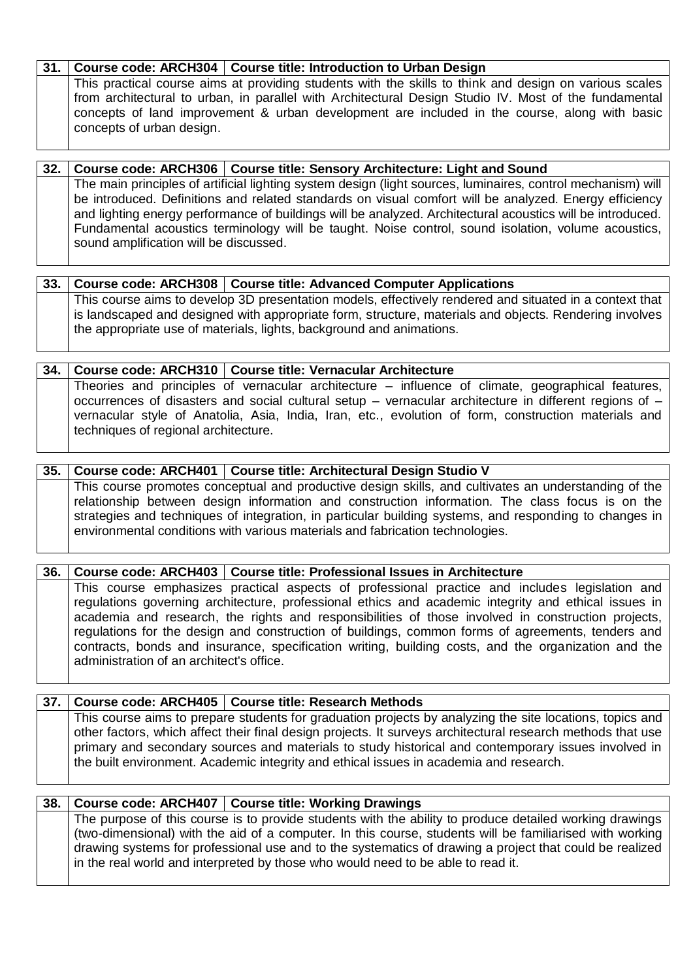# **31. Course code: ARCH304 Course title: Introduction to Urban Design**

This practical course aims at providing students with the skills to think and design on various scales from architectural to urban, in parallel with Architectural Design Studio IV. Most of the fundamental concepts of land improvement & urban development are included in the course, along with basic concepts of urban design.

**32. Course code: ARCH306 Course title: Sensory Architecture: Light and Sound** The main principles of artificial lighting system design (light sources, luminaires, control mechanism) will be introduced. Definitions and related standards on visual comfort will be analyzed. Energy efficiency and lighting energy performance of buildings will be analyzed. Architectural acoustics will be introduced. Fundamental acoustics terminology will be taught. Noise control, sound isolation, volume acoustics, sound amplification will be discussed.

| $-33.$ |                                                                                                         | Course code: ARCH308   Course title: Advanced Computer Applications  |
|--------|---------------------------------------------------------------------------------------------------------|----------------------------------------------------------------------|
|        | This course aims to develop 3D presentation models, effectively rendered and situated in a context that |                                                                      |
|        | is landscaped and designed with appropriate form, structure, materials and objects. Rendering involves  |                                                                      |
|        |                                                                                                         | the appropriate use of materials, lights, background and animations. |

| 34. Course code: ARCH310   Course title: Vernacular Architecture                                                     |
|----------------------------------------------------------------------------------------------------------------------|
| Theories and principles of vernacular architecture – influence of climate, geographical features,                    |
| $\mid$ occurrences of disasters and social cultural setup – vernacular architecture in different regions of – $\mid$ |
| vernacular style of Anatolia, Asia, India, Iran, etc., evolution of form, construction materials and                 |
| techniques of regional architecture.                                                                                 |

# **35. Course code: ARCH401 Course title: Architectural Design Studio V**

This course promotes conceptual and productive design skills, and cultivates an understanding of the relationship between design information and construction information. The class focus is on the strategies and techniques of integration, in particular building systems, and responding to changes in environmental conditions with various materials and fabrication technologies.

## **36. Course code: ARCH403 Course title: Professional Issues in Architecture**

This course emphasizes practical aspects of professional practice and includes legislation and regulations governing architecture, professional ethics and academic integrity and ethical issues in academia and research, the rights and responsibilities of those involved in construction projects, regulations for the design and construction of buildings, common forms of agreements, tenders and contracts, bonds and insurance, specification writing, building costs, and the organization and the administration of an architect's office.

## **37. Course code: ARCH405 Course title: Research Methods**

This course aims to prepare students for graduation projects by analyzing the site locations, topics and other factors, which affect their final design projects. It surveys architectural research methods that use primary and secondary sources and materials to study historical and contemporary issues involved in the built environment. Academic integrity and ethical issues in academia and research.

| 38. | Course code: ARCH407   Course title: Working Drawings                                                                                                                                                                                                                                                                                                                                                              |
|-----|--------------------------------------------------------------------------------------------------------------------------------------------------------------------------------------------------------------------------------------------------------------------------------------------------------------------------------------------------------------------------------------------------------------------|
|     | The purpose of this course is to provide students with the ability to produce detailed working drawings<br>(two-dimensional) with the aid of a computer. In this course, students will be familiarised with working<br>drawing systems for professional use and to the systematics of drawing a project that could be realized<br>in the real world and interpreted by those who would need to be able to read it. |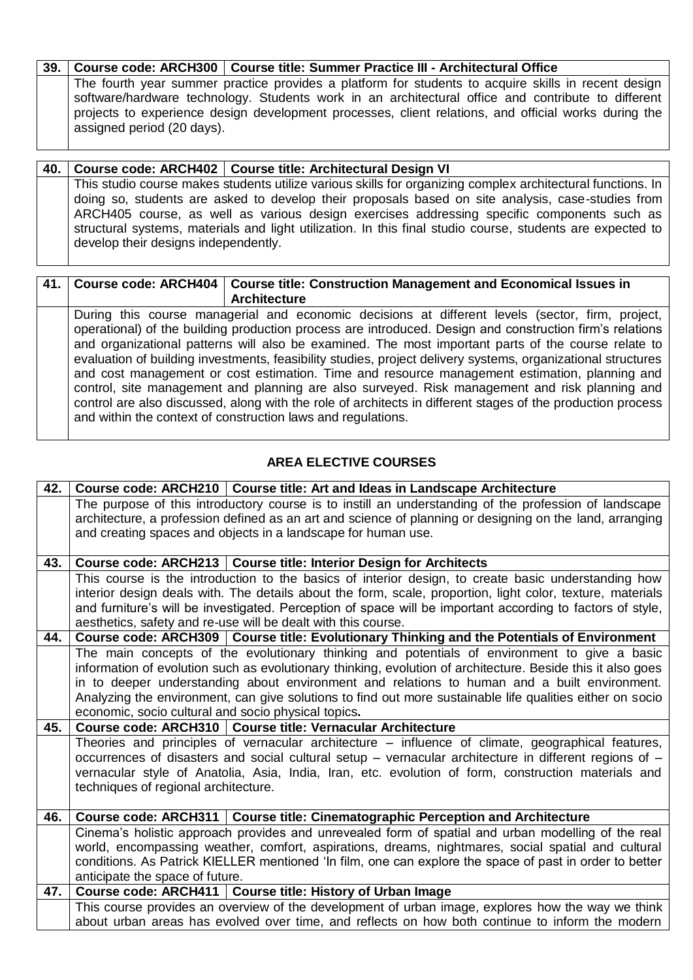# **39. Course code: ARCH300 Course title: Summer Practice III - Architectural Office**

The fourth year summer practice provides a platform for students to acquire skills in recent design software/hardware technology. Students work in an architectural office and contribute to different projects to experience design development processes, client relations, and official works during the assigned period (20 days).

| 40. l | Course code: ARCH402   Course title: Architectural Design VI                                                                                                                                                                                     |  |
|-------|--------------------------------------------------------------------------------------------------------------------------------------------------------------------------------------------------------------------------------------------------|--|
|       | This studio course makes students utilize various skills for organizing complex architectural functions. In<br>doing so, students are asked to develop their proposals based on site analysis, case-studies from                                 |  |
|       | ARCH405 course, as well as various design exercises addressing specific components such as<br>structural systems, materials and light utilization. In this final studio course, students are expected to<br>develop their designs independently. |  |

#### **41. Course code: ARCH404 Course title: Construction Management and Economical Issues in Architecture** During this course managerial and economic decisions at different levels (sector, firm, project, operational) of the building production process are introduced. Design and construction firm's relations and organizational patterns will also be examined. The most important parts of the course relate to evaluation of building investments, feasibility studies, project delivery systems, organizational structures and cost management or cost estimation. Time and resource management estimation, planning and control, site management and planning are also surveyed. Risk management and risk planning and control are also discussed, along with the role of architects in different stages of the production process and within the context of construction laws and regulations.

# **AREA ELECTIVE COURSES**

| 42. |                                                                                                            | Course code: ARCH210   Course title: Art and Ideas in Landscape Architecture                                |
|-----|------------------------------------------------------------------------------------------------------------|-------------------------------------------------------------------------------------------------------------|
|     |                                                                                                            | The purpose of this introductory course is to instill an understanding of the profession of landscape       |
|     | architecture, a profession defined as an art and science of planning or designing on the land, arranging   |                                                                                                             |
|     | and creating spaces and objects in a landscape for human use.                                              |                                                                                                             |
|     |                                                                                                            |                                                                                                             |
| 43. |                                                                                                            | Course code: ARCH213   Course title: Interior Design for Architects                                         |
|     |                                                                                                            | This course is the introduction to the basics of interior design, to create basic understanding how         |
|     |                                                                                                            | interior design deals with. The details about the form, scale, proportion, light color, texture, materials  |
|     | and furniture's will be investigated. Perception of space will be important according to factors of style, |                                                                                                             |
|     |                                                                                                            | aesthetics, safety and re-use will be dealt with this course.                                               |
| 44. |                                                                                                            | Course code: ARCH309   Course title: Evolutionary Thinking and the Potentials of Environment                |
|     |                                                                                                            | The main concepts of the evolutionary thinking and potentials of environment to give a basic                |
|     |                                                                                                            | information of evolution such as evolutionary thinking, evolution of architecture. Beside this it also goes |
|     |                                                                                                            | in to deeper understanding about environment and relations to human and a built environment.                |
|     |                                                                                                            | Analyzing the environment, can give solutions to find out more sustainable life qualities either on socio   |
|     | economic, socio cultural and socio physical topics.                                                        |                                                                                                             |
| 45. |                                                                                                            | Course code: ARCH310   Course title: Vernacular Architecture                                                |
|     |                                                                                                            | Theories and principles of vernacular architecture – influence of climate, geographical features,           |
|     |                                                                                                            | occurrences of disasters and social cultural setup - vernacular architecture in different regions of -      |
|     |                                                                                                            | vernacular style of Anatolia, Asia, India, Iran, etc. evolution of form, construction materials and         |
|     | techniques of regional architecture.                                                                       |                                                                                                             |
|     |                                                                                                            |                                                                                                             |
| 46. |                                                                                                            | Course code: ARCH311   Course title: Cinematographic Perception and Architecture                            |
|     |                                                                                                            | Cinema's holistic approach provides and unrevealed form of spatial and urban modelling of the real          |
|     |                                                                                                            | world, encompassing weather, comfort, aspirations, dreams, nightmares, social spatial and cultural          |
|     |                                                                                                            | conditions. As Patrick KIELLER mentioned 'In film, one can explore the space of past in order to better     |
|     | anticipate the space of future.                                                                            |                                                                                                             |
| 47. |                                                                                                            | Course code: ARCH411   Course title: History of Urban Image                                                 |
|     |                                                                                                            | This course provides an overview of the development of urban image, explores how the way we think           |
|     |                                                                                                            | about urban areas has evolved over time, and reflects on how both continue to inform the modern             |